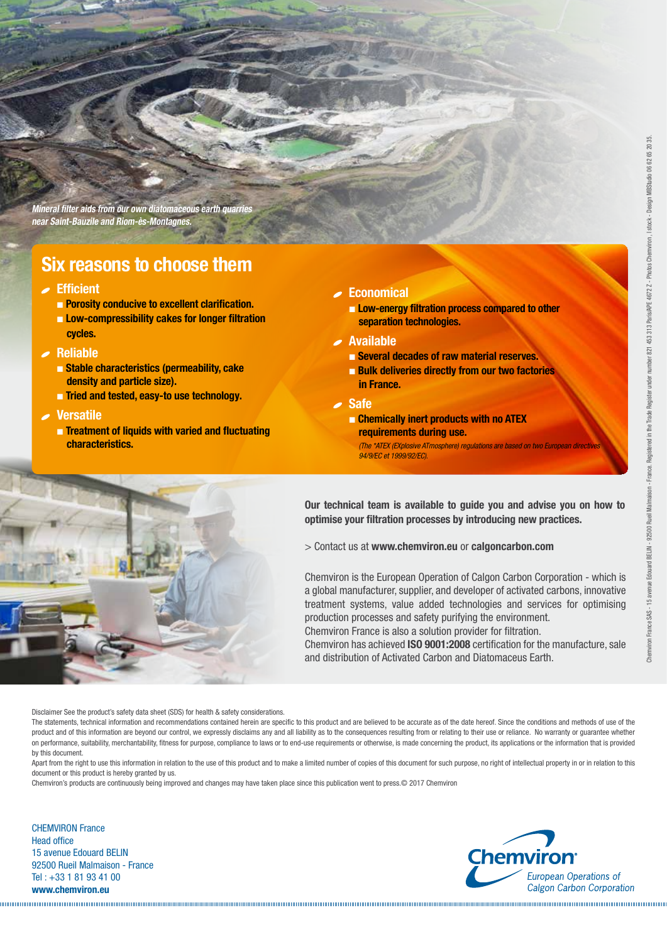# **Clarcel**®

#### **Filtration with Diatomaceus earth**

**Diatomaceus Earth are unicellular brown algae whose cellulose membrane has the property of fixing the silica in water. They thus form shells consisting of hydrated silica whose size varies from 5 to 40 microns. The accumulation of these shells, in certain lakes or sea beds, forms large deposits which, after fossilisation, give a light and very porous rock: diatomite.**

#### **Manufacturing of filter aids marketed under the Clarcel® brand name**

Because of its very high porosity, the diatomite extracted from our own quarries contains 50 to 60 % water. After crushing, the ore is dried, ground and then purified to obtain powder form.

**This powder is then placed in a high-temperature furnace for:**

- calcination to eliminate organic matter, adjust the porosity and enable agglomeration by diatom bridging.
- calcination / activation in the presence of a fluxing agent which increases the sintering between the particles and whitens them.

After cooling, the product is ground and then selected to form precise particle size fractions for the various applications.

#### **Manufacturing process:**

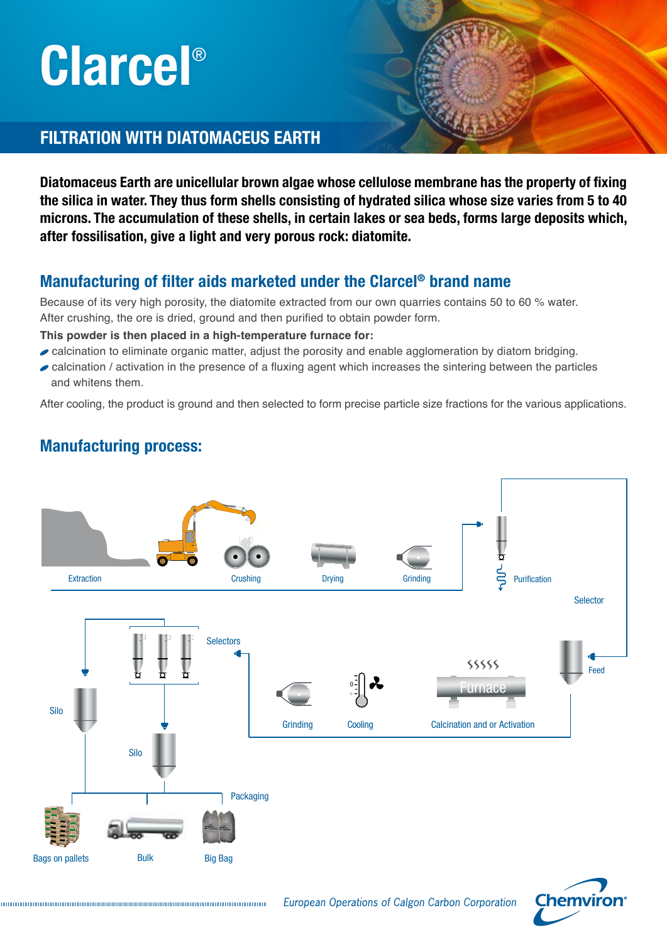## **Clarcel**® Diatomaceous Earth

### An extensive range of mineral filter aids

#### **Calcined Flux - Calcined**

|                                    | "Pink grades" |                          |                          |                 | "White grades"   |                          |                 |                          |                          | "Fast grades"   |                          |                 |                |                          |
|------------------------------------|---------------|--------------------------|--------------------------|-----------------|------------------|--------------------------|-----------------|--------------------------|--------------------------|-----------------|--------------------------|-----------------|----------------|--------------------------|
| <b>GRADES</b>                      |               | CBL <sub>3</sub>         | <b>CBL</b>               | <b>CBR</b>      | CBR <sub>3</sub> | <b>DIFB</b>              | <b>DIFBO</b>    | <b>DICB</b>              | <b>DIC</b>               | <b>DICS</b>     | DIC <sub>3</sub>         | <b>DITR</b>     | <b>DIT2R</b>   | DIT3R                    |
| <b>Permeability (Darcy)</b>        |               | 0.03<br>to 0.05          | 0.05<br>to 0.10          | 0.09<br>to 0.16 | 0.16<br>to 0.30  | 0.45<br>to 0.90          | 0.90<br>to 1.30 | 0.80<br>to 1.80          | 1.4<br>to $2.6$          | 2.4<br>to $4.0$ | 3.5<br>to $5.5$          | 4.9<br>to $8.1$ | 7.5<br>to 12.5 | 10.5<br>to 17.5          |
| Cake density $(q/cm3)$             |               | $\leq 0.40$              | $\leq 0.40$              | $\leq 0.41$     | $\leq 0.41$      | $\leq 0.43$              | $\leq 0.40$     | $\leq 0.43$              | $\leq 0.41$              | $\leq 0.41$     | $\leq 0.41$              | $\leq 0.38$     | $\leq 0.38$    | $\leq 0.38$              |
| Laser<br>granulometry<br>$(\mu m)$ | D 90          | $\overline{\phantom{a}}$ | $\overline{\phantom{a}}$ | $\qquad \qquad$ | $\qquad \qquad$  | $\leq 150$               | $\leq 220$      | $\leq 220$               | $\leq 250$               | $\leq 270$      | $\leq 300$               | $\leq$ 350      | $\leq 420$     | $\leq 450$               |
|                                    | D 80          | $\leq 60$                | $\leq 100$               | $\leq 150$      | $\leq 170$       | $\overline{\phantom{a}}$ | $\qquad \qquad$ | $\overline{\phantom{a}}$ | $\overline{\phantom{a}}$ | $\qquad \qquad$ | $\overline{\phantom{a}}$ | $\qquad \qquad$ |                | $\overline{\phantom{0}}$ |

### **Applications**

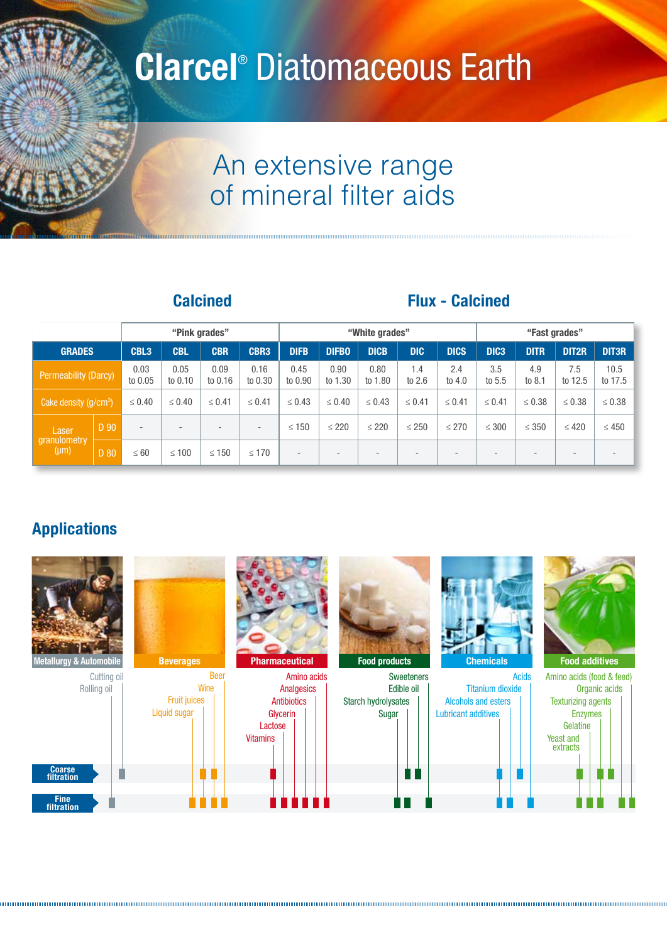

#### **Slurry preparation**

A suspension of 2 to 15 % filters aids is prepared both for the precoat and for the body feed. This suspension is agitated for approximately 15 minutes to obtain a homogeneous slurry. The precoat tank must have a minimum volume corresponding to that of the filter, the pipes and the volume necessary for maintaining the blades of the agitator in the suspension.

#### **Precoat**

The role of the precoat is to protect the supports of the filter (wire meshes, boxes, candles, etc.) against premature clogging by impurities, ensure clarification from the start of the filtration and facilitate opening of the filter. A coat of approximately 1 kg of **Clarcel**® per square metre of filter area is applied on these supports, by causing at least three times the volume of the precoat tank to recirculate through the filter. The filter aid must be spread uniformly over the whole filter surface; to ensure this, the precoating flow rate must be higher than the nominal flow rate (generally 1.5 to 2 times higher).

#### **Body feed**

The body feed stage consists in incorporating **Clarcel**® in the liquid to be filtered. It enables the filtration flow rates to be maintained and extends the cycle times without excessive increase in pressure loss. The average body feed ratio is 1 kg of **Clarcel**® per kg of impurities and the ratio may vary depending on the characteristics.



*The above quantities are given as an indication. They vary according to the application and must be adjusted under industrial conditions.*

### **Clarcel**®